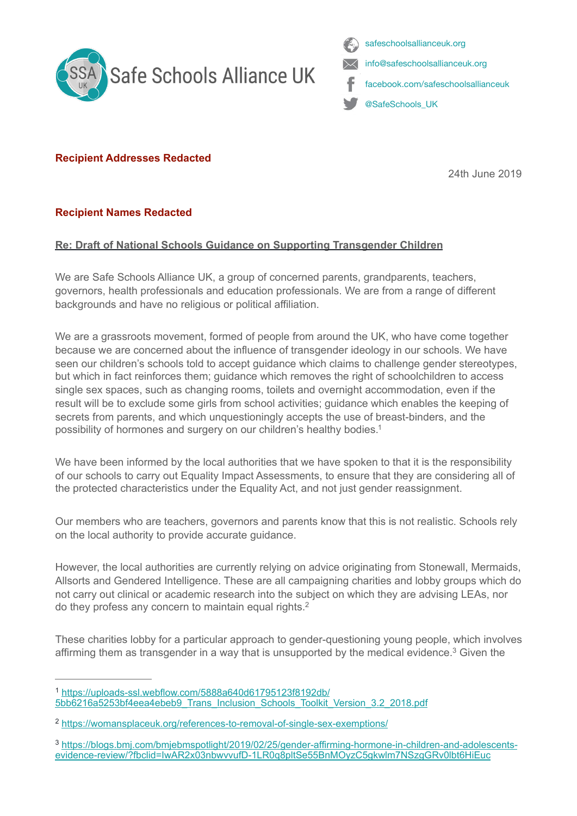



## **Recipient Addresses Redacted**

<span id="page-0-3"></span>24th June 2019

## **Recipient Names Redacted**

## **Re: Draft of National Schools Guidance on Supporting Transgender Children**

We are Safe Schools Alliance UK, a group of concerned parents, grandparents, teachers, governors, health professionals and education professionals. We are from a range of different backgrounds and have no religious or political affiliation.

We are a grassroots movement, formed of people from around the UK, who have come together because we are concerned about the influence of transgender ideology in our schools. We have seen our children's schools told to accept guidance which claims to challenge gender stereotypes, but which in fact reinforces them; guidance which removes the right of schoolchildren to access single sex spaces, such as changing rooms, toilets and overnight accommodation, even if the result will be to exclude some girls from school activities; guidance which enables the keeping of secrets from parents, and which unquestioningly accepts the use of breast-binders, and the possibility of hormones and surgery on our children's healthy bodies[.1](#page-0-0)

We have been informed by the local authorities that we have spoken to that it is the responsibility of our schools to carry out Equality Impact Assessments, to ensure that they are considering all of the protected characteristics under the Equality Act, and not just gender reassignment.

Our members who are teachers, governors and parents know that this is not realistic. Schools rely on the local authority to provide accurate guidance.

However, the local authorities are currently relying on advice originating from Stonewall, Mermaids, Allsorts and Gendered Intelligence. These are all campaigning charities and lobby groups which do not carry out clinical or academic research into the subject on which they are advising LEAs, nor do they profess any concern to maintain equal rights[.](#page-0-1) [2](#page-0-1)

<span id="page-0-5"></span><span id="page-0-4"></span>These charities lobby for a particular approach to gender-questioning young people, which involves affirming them as transgender in a way that is unsupported by the medical evidence[.](#page-0-2)<sup>[3](#page-0-2)</sup> Given the

<span id="page-0-0"></span>https://uploads-ssl.webflow.com/5888a640d61795123f8192db/ [1](#page-0-3) [5bb6216a5253bf4eea4ebeb9\\_Trans\\_Inclusion\\_Schools\\_Toolkit\\_Version\\_3.2\\_2018.pdf](https://uploads-ssl.webflow.com/5888a640d61795123f8192db/5bb6216a5253bf4eea4ebeb9_Trans_Inclusion_Schools_Toolkit_Version_3.2_2018.pdf)

<span id="page-0-1"></span><https://womansplaceuk.org/references-to-removal-of-single-sex-exemptions/> [2](#page-0-4)

<span id="page-0-2"></span>[https://blogs.bmj.com/bmjebmspotlight/2019/02/25/gender-affirming-hormone-in-children-and-adolescents-](https://blogs.bmj.com/bmjebmspotlight/2019/02/25/gender-affirming-hormone-in-children-and-adolescents-evidence-review/?fbclid=IwAR2x03nbwvvufD-1LR0q8pltSe55BnMOyzC5gkwlm7NSzgGRv0lbt6HiEuc) [3](#page-0-5) evidence-review/?fbclid=IwAR2x03nbwyvufD-1LR0q8pltSe55BnMOyzC5gkwlm7NSzgGRy0lbt6HiEuc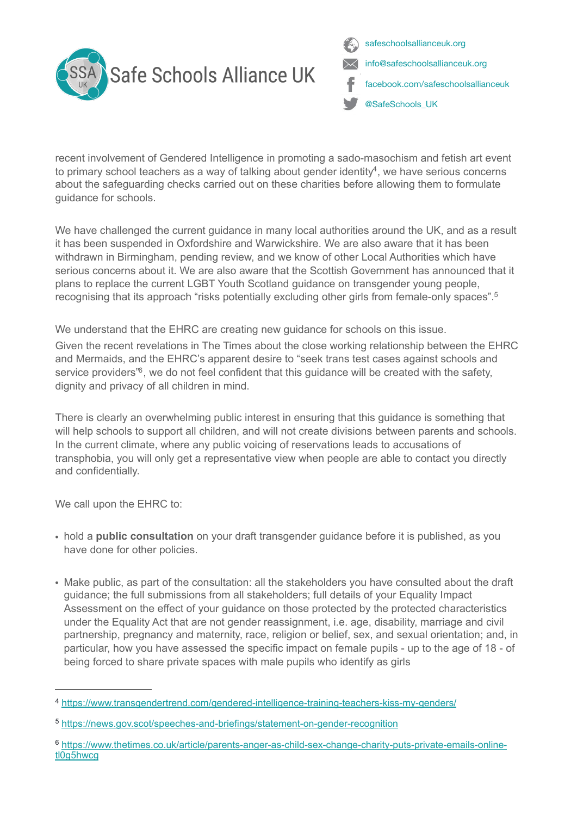

<span id="page-1-4"></span><span id="page-1-3"></span>safeschoolsallianceuk.org info@safeschoolsallianceuk.org facebook.com/safeschoolsallianceuk @SafeSchools\_UK

recent involvement of Gendered Intelligence in promoting a sado-masochism and fetish art event to primary school teachers as a way of talking about gender identity<sup>[4](#page-1-0)</sup>, we have serious concerns about the safeguarding checks carried out on these charities before allowing them to formulate guidance for schools.

We have challenged the current guidance in many local authorities around the UK, and as a result it has been suspended in Oxfordshire and Warwickshire. We are also aware that it has been withdrawn in Birmingham, pending review, and we know of other Local Authorities which have serious concerns about it. We are also aware that the Scottish Government has announced that it plans to replace the current LGBT Youth Scotland guidance on transgender young people, recognising that its approach "risks potentially excluding other girls from female-only spaces"[.5](#page-1-1)

We understand that the EHRC are creating new guidance for schools on this issue.

<span id="page-1-5"></span>Given the recent revelations in The Times about the close working relationship between the EHRC and Mermaids, and the EHRC's apparent desire to "seek trans test cases against schools and service providers<sup>%</sup>[,](#page-1-2) we do not feel confident that this quidance will be created with the safety, dignity and privacy of all children in mind.

There is clearly an overwhelming public interest in ensuring that this guidance is something that will help schools to support all children, and will not create divisions between parents and schools. In the current climate, where any public voicing of reservations leads to accusations of transphobia, you will only get a representative view when people are able to contact you directly and confidentially.

We call upon the EHRC to:

- hold a **public consultation** on your draft transgender guidance before it is published, as you have done for other policies.
- Make public, as part of the consultation: all the stakeholders you have consulted about the draft guidance; the full submissions from all stakeholders; full details of your Equality Impact Assessment on the effect of your guidance on those protected by the protected characteristics under the Equality Act that are not gender reassignment, i.e. age, disability, marriage and civil partnership, pregnancy and maternity, race, religion or belief, sex, and sexual orientation; and, in particular, how you have assessed the specific impact on female pupils - up to the age of 18 - of being forced to share private spaces with male pupils who identify as girls

<span id="page-1-0"></span><https://www.transgendertrend.com/gendered-intelligence-training-teachers-kiss-my-genders/> [4](#page-1-3)

<span id="page-1-1"></span><https://news.gov.scot/speeches-and-briefings/statement-on-gender-recognition> [5](#page-1-4)

<span id="page-1-2"></span>[https://www.thetimes.co.uk/article/parents-anger-as-child-sex-change-charity-puts-private-emails-online-](https://www.thetimes.co.uk/article/parents-anger-as-child-sex-change-charity-puts-private-emails-online-tl0g5hwcg) [6](#page-1-5) tl0g5hwcg